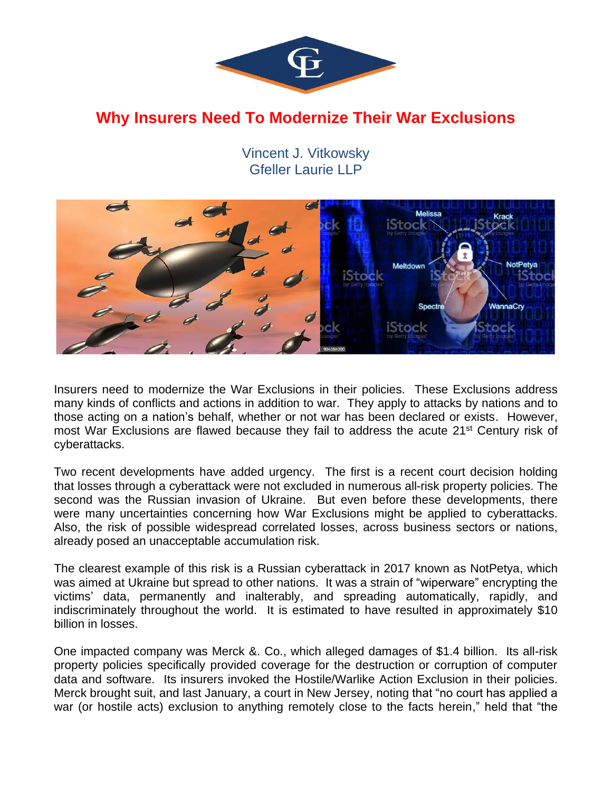

## **Why Insurers Need To Modernize Their War Exclusions**

Vincent J. Vitkowsky Gfeller Laurie LLP



Insurers need to modernize the War Exclusions in their policies. These Exclusions address many kinds of conflicts and actions in addition to war. They apply to attacks by nations and to those acting on a nation's behalf, whether or not war has been declared or exists. However, most War Exclusions are flawed because they fail to address the acute 21<sup>st</sup> Century risk of cyberattacks.

Two recent developments have added urgency. The first is a recent court decision holding that losses through a cyberattack were not excluded in numerous all-risk property policies. The second was the Russian invasion of Ukraine. But even before these developments, there were many uncertainties concerning how War Exclusions might be applied to cyberattacks. Also, the risk of possible widespread correlated losses, across business sectors or nations, already posed an unacceptable accumulation risk.

The clearest example of this risk is a Russian cyberattack in 2017 known as NotPetya, which was aimed at Ukraine but spread to other nations. It was a strain of "wiperware" encrypting the victims' data, permanently and inalterably, and spreading automatically, rapidly, and indiscriminately throughout the world. It is estimated to have resulted in approximately \$10 billion in losses.

One impacted company was Merck &. Co., which alleged damages of \$1.4 billion. Its all-risk property policies specifically provided coverage for the destruction or corruption of computer data and software. Its insurers invoked the Hostile/Warlike Action Exclusion in their policies. Merck brought suit, and last January, a court in New Jersey, noting that "no court has applied a war (or hostile acts) exclusion to anything remotely close to the facts herein," held that "the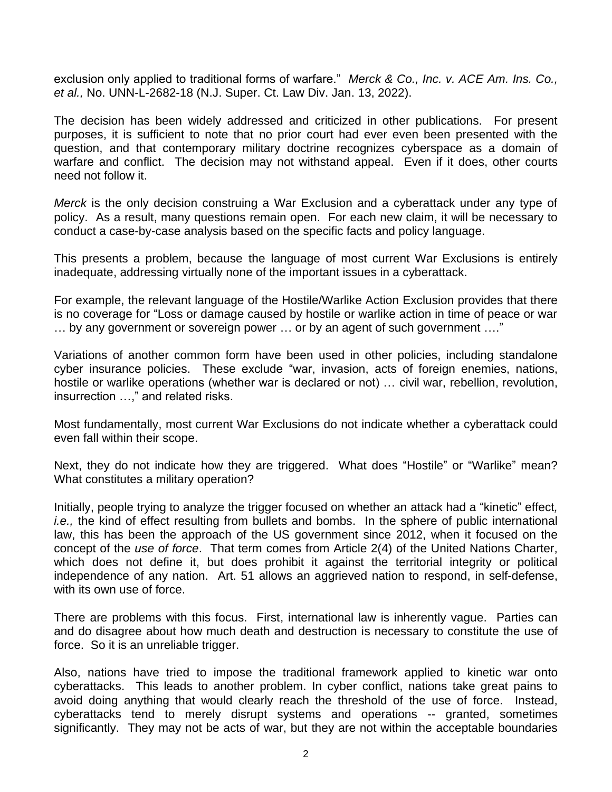exclusion only applied to traditional forms of warfare." *Merck & Co., Inc. v. ACE Am. Ins. Co., et al.,* No. UNN-L-2682-18 (N.J. Super. Ct. Law Div. Jan. 13, 2022).

The decision has been widely addressed and criticized in other publications. For present purposes, it is sufficient to note that no prior court had ever even been presented with the question, and that contemporary military doctrine recognizes cyberspace as a domain of warfare and conflict. The decision may not withstand appeal. Even if it does, other courts need not follow it.

*Merck* is the only decision construing a War Exclusion and a cyberattack under any type of policy. As a result, many questions remain open. For each new claim, it will be necessary to conduct a case-by-case analysis based on the specific facts and policy language.

This presents a problem, because the language of most current War Exclusions is entirely inadequate, addressing virtually none of the important issues in a cyberattack.

For example, the relevant language of the Hostile/Warlike Action Exclusion provides that there is no coverage for "Loss or damage caused by hostile or warlike action in time of peace or war … by any government or sovereign power … or by an agent of such government …."

Variations of another common form have been used in other policies, including standalone cyber insurance policies. These exclude "war, invasion, acts of foreign enemies, nations, hostile or warlike operations (whether war is declared or not) ... civil war, rebellion, revolution, insurrection …," and related risks.

Most fundamentally, most current War Exclusions do not indicate whether a cyberattack could even fall within their scope.

Next, they do not indicate how they are triggered. What does "Hostile" or "Warlike" mean? What constitutes a military operation?

Initially, people trying to analyze the trigger focused on whether an attack had a "kinetic" effect*, i.e.,* the kind of effect resulting from bullets and bombs. In the sphere of public international law, this has been the approach of the US government since 2012, when it focused on the concept of the *use of force*. That term comes from Article 2(4) of the United Nations Charter, which does not define it, but does prohibit it against the territorial integrity or political independence of any nation. Art. 51 allows an aggrieved nation to respond, in self-defense, with its own use of force.

There are problems with this focus. First, international law is inherently vague. Parties can and do disagree about how much death and destruction is necessary to constitute the use of force. So it is an unreliable trigger.

Also, nations have tried to impose the traditional framework applied to kinetic war onto cyberattacks. This leads to another problem. In cyber conflict, nations take great pains to avoid doing anything that would clearly reach the threshold of the use of force. Instead, cyberattacks tend to merely disrupt systems and operations -- granted, sometimes significantly. They may not be acts of war, but they are not within the acceptable boundaries